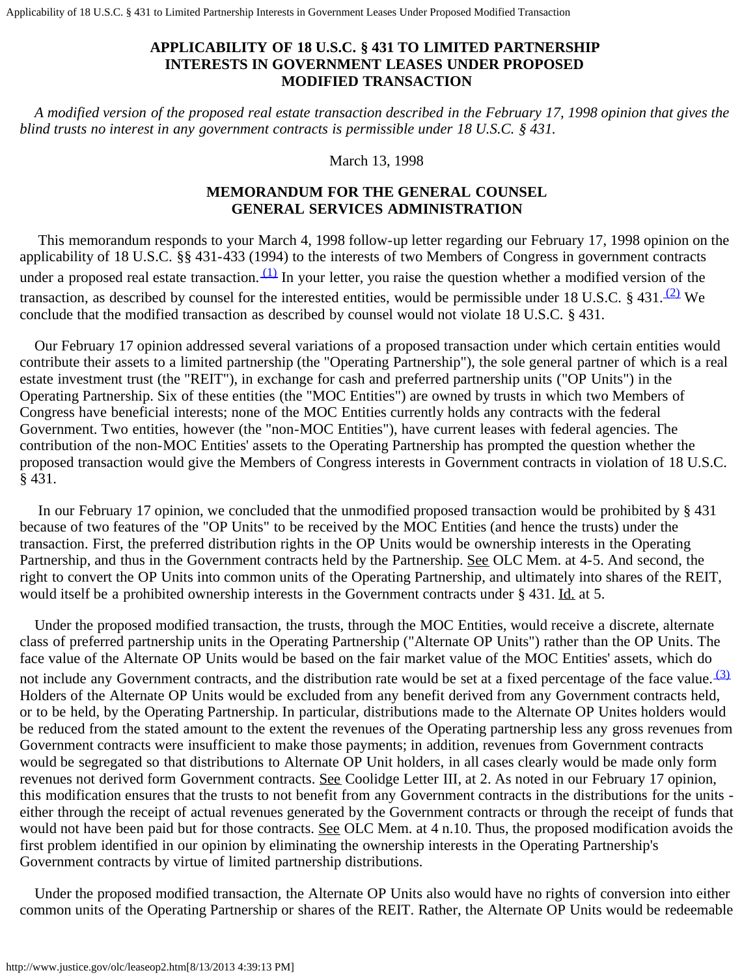Applicability of 18 U.S.C. § 431 to Limited Partnership Interests in Government Leases Under Proposed Modified Transaction

## **APPLICABILITY OF 18 U.S.C. § 431 TO LIMITED PARTNERSHIP INTERESTS IN GOVERNMENT LEASES UNDER PROPOSED MODIFIED TRANSACTION**

 *A modified version of the proposed real estate transaction described in the February 17, 1998 opinion that gives the blind trusts no interest in any government contracts is permissible under 18 U.S.C. § 431.*

## March 13, 1998

## **MEMORANDUM FOR THE GENERAL COUNSEL GENERAL SERVICES ADMINISTRATION**

 This memorandum responds to your March 4, 1998 follow-up letter regarding our February 17, 1998 opinion on the applicability of 18 U.S.C. §§ 431-433 (1994) to the interests of two Members of Congress in government contracts under a proposed real estate transaction.  $(1)$  In your letter, you raise the question whether a modified version of the transaction, as described by counsel for the interested entities, would be permissible under 18 U.S.C. § 431.  $(2)$  We conclude that the modified transaction as described by counsel would not violate 18 U.S.C. § 431.

 Our February 17 opinion addressed several variations of a proposed transaction under which certain entities would contribute their assets to a limited partnership (the "Operating Partnership"), the sole general partner of which is a real estate investment trust (the "REIT"), in exchange for cash and preferred partnership units ("OP Units") in the Operating Partnership. Six of these entities (the "MOC Entities") are owned by trusts in which two Members of Congress have beneficial interests; none of the MOC Entities currently holds any contracts with the federal Government. Two entities, however (the "non-MOC Entities"), have current leases with federal agencies. The contribution of the non-MOC Entities' assets to the Operating Partnership has prompted the question whether the proposed transaction would give the Members of Congress interests in Government contracts in violation of 18 U.S.C. § 431.

 In our February 17 opinion, we concluded that the unmodified proposed transaction would be prohibited by § 431 because of two features of the "OP Units" to be received by the MOC Entities (and hence the trusts) under the transaction. First, the preferred distribution rights in the OP Units would be ownership interests in the Operating Partnership, and thus in the Government contracts held by the Partnership. See OLC Mem. at 4-5. And second, the right to convert the OP Units into common units of the Operating Partnership, and ultimately into shares of the REIT, would itself be a prohibited ownership interests in the Government contracts under § 431. Id. at 5.

 Under the proposed modified transaction, the trusts, through the MOC Entities, would receive a discrete, alternate class of preferred partnership units in the Operating Partnership ("Alternate OP Units") rather than the OP Units. The face value of the Alternate OP Units would be based on the fair market value of the MOC Entities' assets, which do not include any Government contracts, and the distribution rate would be set at a fixed percentage of the face value.  $(3)$ Holders of the Alternate OP Units would be excluded from any benefit derived from any Government contracts held, or to be held, by the Operating Partnership. In particular, distributions made to the Alternate OP Unites holders would be reduced from the stated amount to the extent the revenues of the Operating partnership less any gross revenues from Government contracts were insufficient to make those payments; in addition, revenues from Government contracts would be segregated so that distributions to Alternate OP Unit holders, in all cases clearly would be made only form revenues not derived form Government contracts. See Coolidge Letter III, at 2. As noted in our February 17 opinion, this modification ensures that the trusts to not benefit from any Government contracts in the distributions for the units either through the receipt of actual revenues generated by the Government contracts or through the receipt of funds that would not have been paid but for those contracts. See OLC Mem. at 4 n.10. Thus, the proposed modification avoids the first problem identified in our opinion by eliminating the ownership interests in the Operating Partnership's Government contracts by virtue of limited partnership distributions.

 Under the proposed modified transaction, the Alternate OP Units also would have no rights of conversion into either common units of the Operating Partnership or shares of the REIT. Rather, the Alternate OP Units would be redeemable